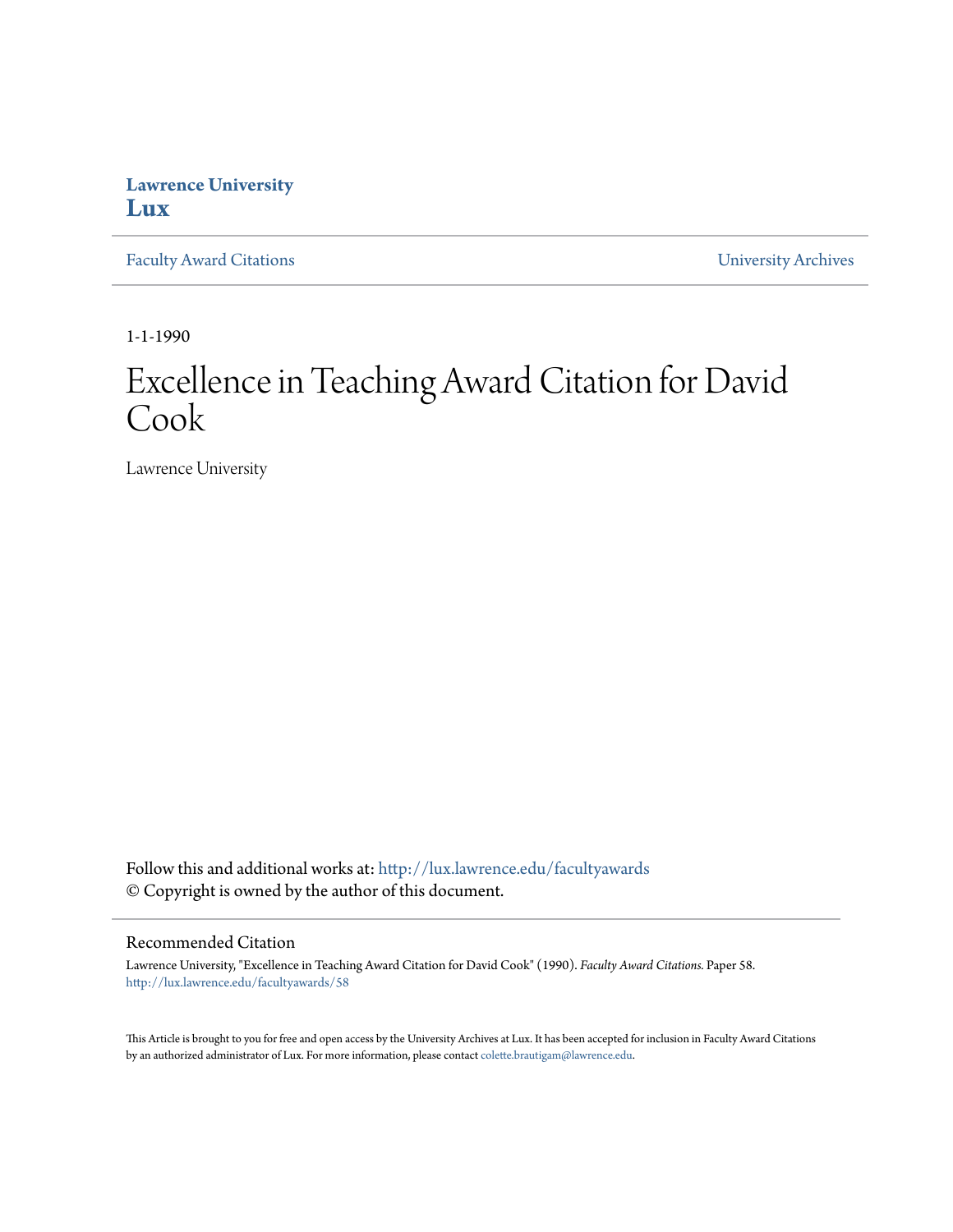## **Lawrence University [Lux](http://lux.lawrence.edu?utm_source=lux.lawrence.edu%2Ffacultyawards%2F58&utm_medium=PDF&utm_campaign=PDFCoverPages)**

[Faculty Award Citations](http://lux.lawrence.edu/facultyawards?utm_source=lux.lawrence.edu%2Ffacultyawards%2F58&utm_medium=PDF&utm_campaign=PDFCoverPages) **Example 2018** [University Archives](http://lux.lawrence.edu/archives?utm_source=lux.lawrence.edu%2Ffacultyawards%2F58&utm_medium=PDF&utm_campaign=PDFCoverPages)

1-1-1990

# Excellence in Teaching Award Citation for David Cook

Lawrence University

Follow this and additional works at: [http://lux.lawrence.edu/facultyawards](http://lux.lawrence.edu/facultyawards?utm_source=lux.lawrence.edu%2Ffacultyawards%2F58&utm_medium=PDF&utm_campaign=PDFCoverPages) © Copyright is owned by the author of this document.

#### Recommended Citation

Lawrence University, "Excellence in Teaching Award Citation for David Cook" (1990). *Faculty Award Citations.* Paper 58. [http://lux.lawrence.edu/facultyawards/58](http://lux.lawrence.edu/facultyawards/58?utm_source=lux.lawrence.edu%2Ffacultyawards%2F58&utm_medium=PDF&utm_campaign=PDFCoverPages)

This Article is brought to you for free and open access by the University Archives at Lux. It has been accepted for inclusion in Faculty Award Citations by an authorized administrator of Lux. For more information, please contact [colette.brautigam@lawrence.edu](mailto:colette.brautigam@lawrence.edu).